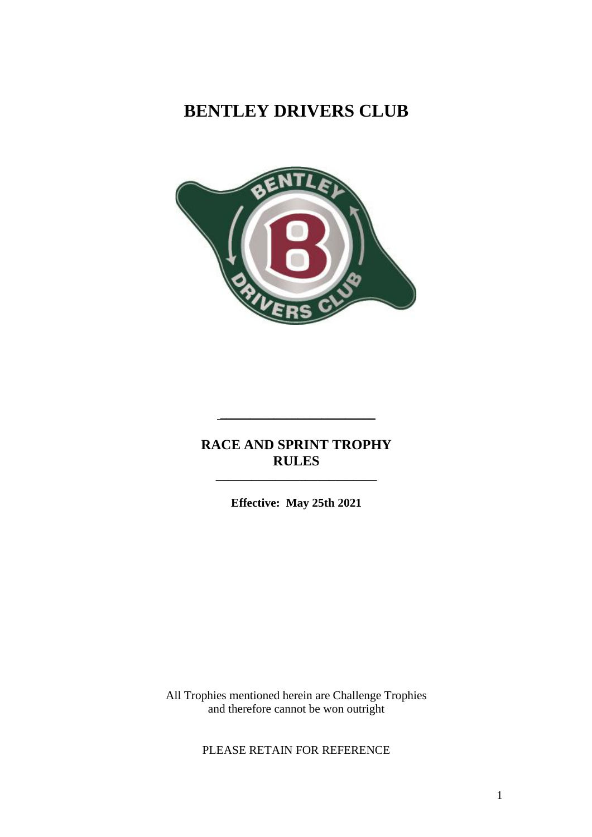# **BENTLEY DRIVERS CLUB**



## **RACE AND SPRINT TROPHY RULES**

\_\_\_\_\_\_\_\_\_\_\_\_\_\_\_\_\_\_\_\_\_\_\_\_\_\_

**Effective: May 25th 2021**

**\_\_\_\_\_\_\_\_\_\_\_\_\_\_\_\_\_\_\_\_\_\_\_\_\_\_\_**

All Trophies mentioned herein are Challenge Trophies and therefore cannot be won outright

PLEASE RETAIN FOR REFERENCE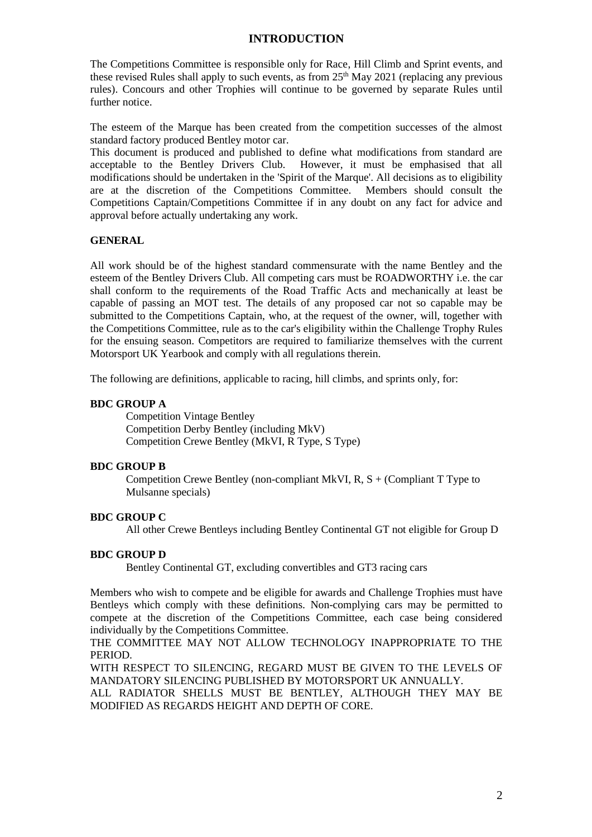### **INTRODUCTION**

The Competitions Committee is responsible only for Race, Hill Climb and Sprint events, and these revised Rules shall apply to such events, as from  $25<sup>th</sup>$  May 2021 (replacing any previous rules). Concours and other Trophies will continue to be governed by separate Rules until further notice.

The esteem of the Marque has been created from the competition successes of the almost standard factory produced Bentley motor car.

This document is produced and published to define what modifications from standard are acceptable to the Bentley Drivers Club. However, it must be emphasised that all modifications should be undertaken in the 'Spirit of the Marque'. All decisions as to eligibility are at the discretion of the Competitions Committee. Members should consult the Competitions Captain/Competitions Committee if in any doubt on any fact for advice and approval before actually undertaking any work.

### **GENERAL**

All work should be of the highest standard commensurate with the name Bentley and the esteem of the Bentley Drivers Club. All competing cars must be ROADWORTHY i.e. the car shall conform to the requirements of the Road Traffic Acts and mechanically at least be capable of passing an MOT test. The details of any proposed car not so capable may be submitted to the Competitions Captain, who, at the request of the owner, will, together with the Competitions Committee, rule as to the car's eligibility within the Challenge Trophy Rules for the ensuing season. Competitors are required to familiarize themselves with the current Motorsport UK Yearbook and comply with all regulations therein.

The following are definitions, applicable to racing, hill climbs, and sprints only, for:

### **BDC GROUP A**

Competition Vintage Bentley Competition Derby Bentley (including MkV) Competition Crewe Bentley (MkVI, R Type, S Type)

### **BDC GROUP B**

Competition Crewe Bentley (non-compliant MkVI,  $R, S + (Compliant T)$  Type to Mulsanne specials)

### **BDC GROUP C**

All other Crewe Bentleys including Bentley Continental GT not eligible for Group D

### **BDC GROUP D**

Bentley Continental GT, excluding convertibles and GT3 racing cars

Members who wish to compete and be eligible for awards and Challenge Trophies must have Bentleys which comply with these definitions. Non-complying cars may be permitted to compete at the discretion of the Competitions Committee, each case being considered individually by the Competitions Committee.

THE COMMITTEE MAY NOT ALLOW TECHNOLOGY INAPPROPRIATE TO THE PERIOD.

WITH RESPECT TO SILENCING, REGARD MUST BE GIVEN TO THE LEVELS OF MANDATORY SILENCING PUBLISHED BY MOTORSPORT UK ANNUALLY.

ALL RADIATOR SHELLS MUST BE BENTLEY, ALTHOUGH THEY MAY BE MODIFIED AS REGARDS HEIGHT AND DEPTH OF CORE.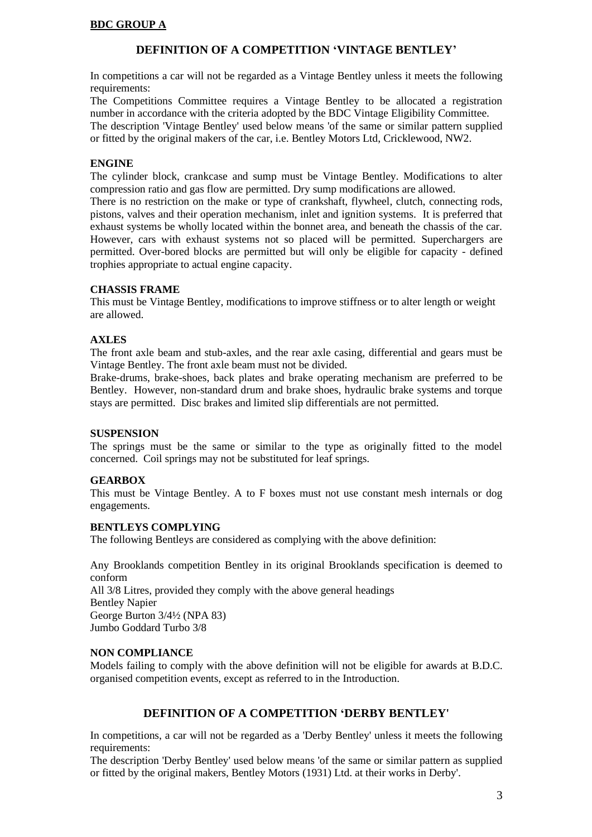### **BDC GROUP A**

### **DEFINITION OF A COMPETITION 'VINTAGE BENTLEY'**

In competitions a car will not be regarded as a Vintage Bentley unless it meets the following requirements:

The Competitions Committee requires a Vintage Bentley to be allocated a registration number in accordance with the criteria adopted by the BDC Vintage Eligibility Committee. The description 'Vintage Bentley' used below means 'of the same or similar pattern supplied or fitted by the original makers of the car, i.e. Bentley Motors Ltd, Cricklewood, NW2.

### **ENGINE**

The cylinder block, crankcase and sump must be Vintage Bentley. Modifications to alter compression ratio and gas flow are permitted. Dry sump modifications are allowed.

There is no restriction on the make or type of crankshaft, flywheel, clutch, connecting rods, pistons, valves and their operation mechanism, inlet and ignition systems. It is preferred that exhaust systems be wholly located within the bonnet area, and beneath the chassis of the car. However, cars with exhaust systems not so placed will be permitted. Superchargers are permitted. Over-bored blocks are permitted but will only be eligible for capacity - defined trophies appropriate to actual engine capacity.

### **CHASSIS FRAME**

This must be Vintage Bentley, modifications to improve stiffness or to alter length or weight are allowed.

### **AXLES**

The front axle beam and stub-axles, and the rear axle casing, differential and gears must be Vintage Bentley. The front axle beam must not be divided.

Brake-drums, brake-shoes, back plates and brake operating mechanism are preferred to be Bentley. However, non-standard drum and brake shoes, hydraulic brake systems and torque stays are permitted. Disc brakes and limited slip differentials are not permitted.

#### **SUSPENSION**

The springs must be the same or similar to the type as originally fitted to the model concerned. Coil springs may not be substituted for leaf springs.

### **GEARBOX**

This must be Vintage Bentley. A to F boxes must not use constant mesh internals or dog engagements.

### **BENTLEYS COMPLYING**

The following Bentleys are considered as complying with the above definition:

Any Brooklands competition Bentley in its original Brooklands specification is deemed to conform All 3/8 Litres, provided they comply with the above general headings Bentley Napier George Burton 3/4<sup>1</sup>/<sub>2</sub> (NPA 83) Jumbo Goddard Turbo 3/8

### **NON COMPLIANCE**

Models failing to comply with the above definition will not be eligible for awards at B.D.C. organised competition events, except as referred to in the Introduction.

### **DEFINITION OF A COMPETITION 'DERBY BENTLEY'**

In competitions, a car will not be regarded as a 'Derby Bentley' unless it meets the following requirements:

The description 'Derby Bentley' used below means 'of the same or similar pattern as supplied or fitted by the original makers, Bentley Motors (1931) Ltd. at their works in Derby'.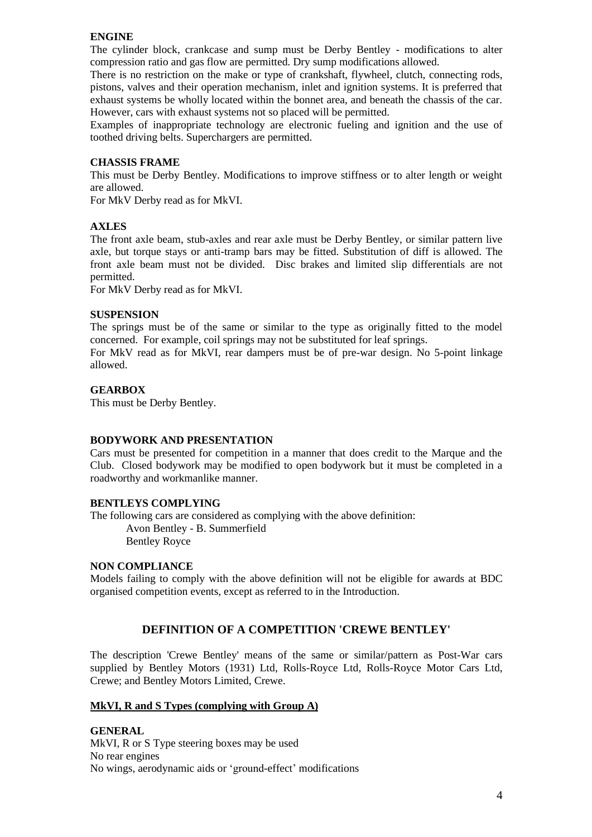### **ENGINE**

The cylinder block, crankcase and sump must be Derby Bentley - modifications to alter compression ratio and gas flow are permitted. Dry sump modifications allowed.

There is no restriction on the make or type of crankshaft, flywheel, clutch, connecting rods, pistons, valves and their operation mechanism, inlet and ignition systems. It is preferred that exhaust systems be wholly located within the bonnet area, and beneath the chassis of the car. However, cars with exhaust systems not so placed will be permitted.

Examples of inappropriate technology are electronic fueling and ignition and the use of toothed driving belts. Superchargers are permitted.

#### **CHASSIS FRAME**

This must be Derby Bentley. Modifications to improve stiffness or to alter length or weight are allowed.

For MkV Derby read as for MkVI.

### **AXLES**

The front axle beam, stub-axles and rear axle must be Derby Bentley, or similar pattern live axle, but torque stays or anti-tramp bars may be fitted. Substitution of diff is allowed. The front axle beam must not be divided. Disc brakes and limited slip differentials are not permitted.

For MkV Derby read as for MkVI.

#### **SUSPENSION**

The springs must be of the same or similar to the type as originally fitted to the model concerned. For example, coil springs may not be substituted for leaf springs.

For MkV read as for MkVI, rear dampers must be of pre-war design. No 5-point linkage allowed.

#### **GEARBOX**

This must be Derby Bentley.

#### **BODYWORK AND PRESENTATION**

Cars must be presented for competition in a manner that does credit to the Marque and the Club. Closed bodywork may be modified to open bodywork but it must be completed in a roadworthy and workmanlike manner.

#### **BENTLEYS COMPLYING**

The following cars are considered as complying with the above definition:

Avon Bentley - B. Summerfield Bentley Royce

#### **NON COMPLIANCE**

Models failing to comply with the above definition will not be eligible for awards at BDC organised competition events, except as referred to in the Introduction.

### **DEFINITION OF A COMPETITION 'CREWE BENTLEY'**

The description 'Crewe Bentley' means of the same or similar/pattern as Post-War cars supplied by Bentley Motors (1931) Ltd, Rolls-Royce Ltd, Rolls-Royce Motor Cars Ltd, Crewe; and Bentley Motors Limited, Crewe.

#### **MkVI, R and S Types (complying with Group A)**

**GENERAL**  MkVI, R or S Type steering boxes may be used No rear engines No wings, aerodynamic aids or 'ground-effect' modifications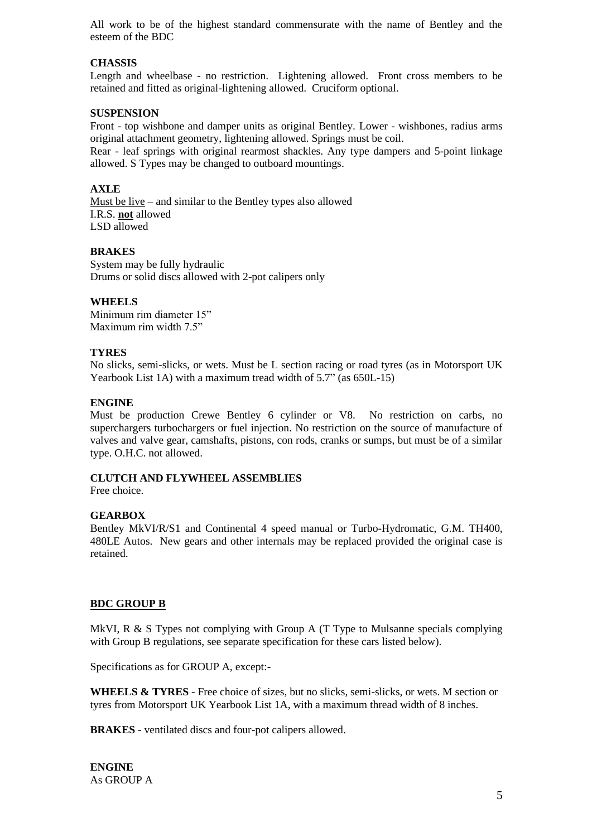All work to be of the highest standard commensurate with the name of Bentley and the esteem of the BDC

### **CHASSIS**

Length and wheelbase - no restriction. Lightening allowed. Front cross members to be retained and fitted as original-lightening allowed. Cruciform optional.

### **SUSPENSION**

Front - top wishbone and damper units as original Bentley. Lower - wishbones, radius arms original attachment geometry, lightening allowed. Springs must be coil.

Rear - leaf springs with original rearmost shackles. Any type dampers and 5-point linkage allowed. S Types may be changed to outboard mountings.

### **AXLE**

Must be live – and similar to the Bentley types also allowed I.R.S. **not** allowed LSD allowed

### **BRAKES**

System may be fully hydraulic Drums or solid discs allowed with 2-pot calipers only

### **WHEELS**

Minimum rim diameter 15" Maximum rim width 7.5"

### **TYRES**

No slicks, semi-slicks, or wets. Must be L section racing or road tyres (as in Motorsport UK Yearbook List 1A) with a maximum tread width of 5.7" (as 650L-15)

### **ENGINE**

Must be production Crewe Bentley 6 cylinder or V8. No restriction on carbs, no superchargers turbochargers or fuel injection. No restriction on the source of manufacture of valves and valve gear, camshafts, pistons, con rods, cranks or sumps, but must be of a similar type. O.H.C. not allowed.

### **CLUTCH AND FLYWHEEL ASSEMBLIES**

Free choice.

### **GEARBOX**

Bentley MkVI/R/S1 and Continental 4 speed manual or Turbo-Hydromatic, G.M. TH400, 480LE Autos. New gears and other internals may be replaced provided the original case is retained.

### **BDC GROUP B**

MkVI, R & S Types not complying with Group A (T Type to Mulsanne specials complying with Group B regulations, see separate specification for these cars listed below).

Specifications as for GROUP A, except:-

**WHEELS & TYRES** - Free choice of sizes, but no slicks, semi-slicks, or wets. M section or tyres from Motorsport UK Yearbook List 1A, with a maximum thread width of 8 inches.

**BRAKES** - ventilated discs and four-pot calipers allowed.

**ENGINE** As GROUP A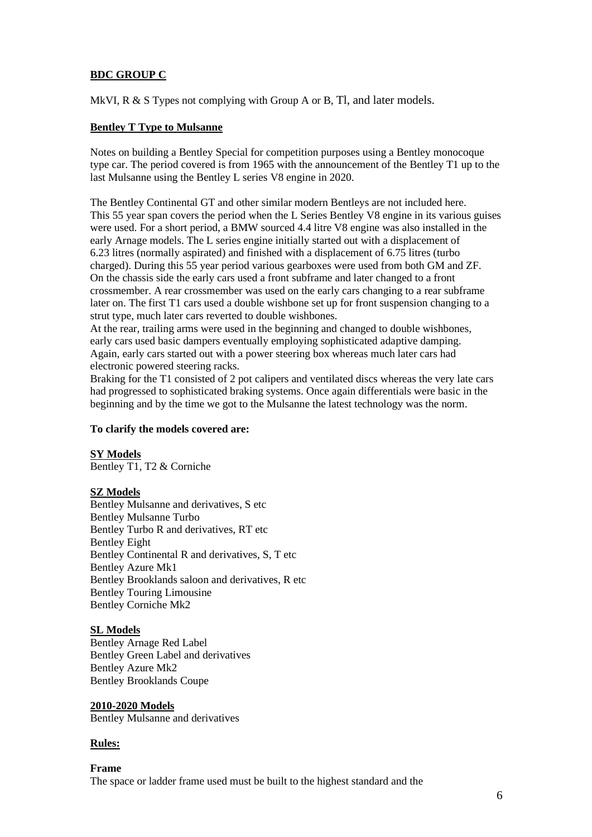### **BDC GROUP C**

MkVI, R & S Types not complying with Group A or B, Tl, and later models.

### **Bentley T Type to Mulsanne**

Notes on building a Bentley Special for competition purposes using a Bentley monocoque type car. The period covered is from 1965 with the announcement of the Bentley T1 up to the last Mulsanne using the Bentley L series V8 engine in 2020.

The Bentley Continental GT and other similar modern Bentleys are not included here. This 55 year span covers the period when the L Series Bentley V8 engine in its various guises were used. For a short period, a BMW sourced 4.4 litre V8 engine was also installed in the early Arnage models. The L series engine initially started out with a displacement of 6.23 litres (normally aspirated) and finished with a displacement of 6.75 litres (turbo charged). During this 55 year period various gearboxes were used from both GM and ZF. On the chassis side the early cars used a front subframe and later changed to a front crossmember. A rear crossmember was used on the early cars changing to a rear subframe later on. The first T1 cars used a double wishbone set up for front suspension changing to a strut type, much later cars reverted to double wishbones.

At the rear, trailing arms were used in the beginning and changed to double wishbones, early cars used basic dampers eventually employing sophisticated adaptive damping. Again, early cars started out with a power steering box whereas much later cars had electronic powered steering racks.

Braking for the T1 consisted of 2 pot calipers and ventilated discs whereas the very late cars had progressed to sophisticated braking systems. Once again differentials were basic in the beginning and by the time we got to the Mulsanne the latest technology was the norm.

### **To clarify the models covered are:**

**SY Models**

Bentley T1, T2 & Corniche

### **SZ Models**

Bentley Mulsanne and derivatives, S etc Bentley Mulsanne Turbo Bentley Turbo R and derivatives, RT etc Bentley Eight Bentley Continental R and derivatives, S, T etc Bentley Azure Mk1 Bentley Brooklands saloon and derivatives, R etc Bentley Touring Limousine Bentley Corniche Mk2

### **SL Models**

Bentley Arnage Red Label Bentley Green Label and derivatives Bentley Azure Mk2 Bentley Brooklands Coupe

**2010-2020 Models** Bentley Mulsanne and derivatives

### **Rules:**

### **Frame**

The space or ladder frame used must be built to the highest standard and the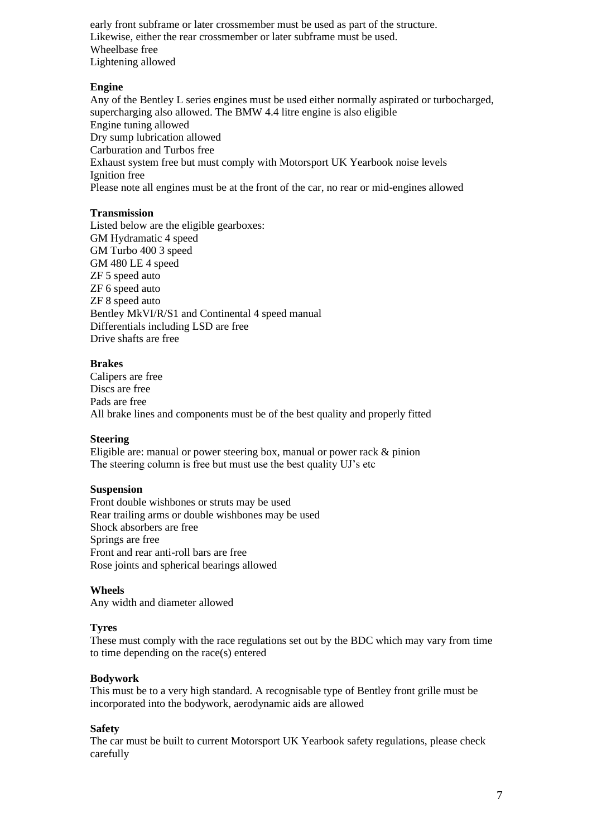early front subframe or later crossmember must be used as part of the structure. Likewise, either the rear crossmember or later subframe must be used. Wheelbase free Lightening allowed

### **Engine**

Any of the Bentley L series engines must be used either normally aspirated or turbocharged, supercharging also allowed. The BMW 4.4 litre engine is also eligible Engine tuning allowed Dry sump lubrication allowed Carburation and Turbos free Exhaust system free but must comply with Motorsport UK Yearbook noise levels Ignition free Please note all engines must be at the front of the car, no rear or mid-engines allowed

### **Transmission**

Listed below are the eligible gearboxes: GM Hydramatic 4 speed GM Turbo 400 3 speed GM 480 LE 4 speed ZF 5 speed auto ZF 6 speed auto ZF 8 speed auto Bentley MkVI/R/S1 and Continental 4 speed manual Differentials including LSD are free Drive shafts are free

### **Brakes**

Calipers are free Discs are free Pads are free All brake lines and components must be of the best quality and properly fitted

### **Steering**

Eligible are: manual or power steering box, manual or power rack & pinion The steering column is free but must use the best quality UJ's etc

### **Suspension**

Front double wishbones or struts may be used Rear trailing arms or double wishbones may be used Shock absorbers are free Springs are free Front and rear anti-roll bars are free Rose joints and spherical bearings allowed

### **Wheels**

Any width and diameter allowed

### **Tyres**

These must comply with the race regulations set out by the BDC which may vary from time to time depending on the race(s) entered

### **Bodywork**

This must be to a very high standard. A recognisable type of Bentley front grille must be incorporated into the bodywork, aerodynamic aids are allowed

### **Safety**

The car must be built to current Motorsport UK Yearbook safety regulations, please check carefully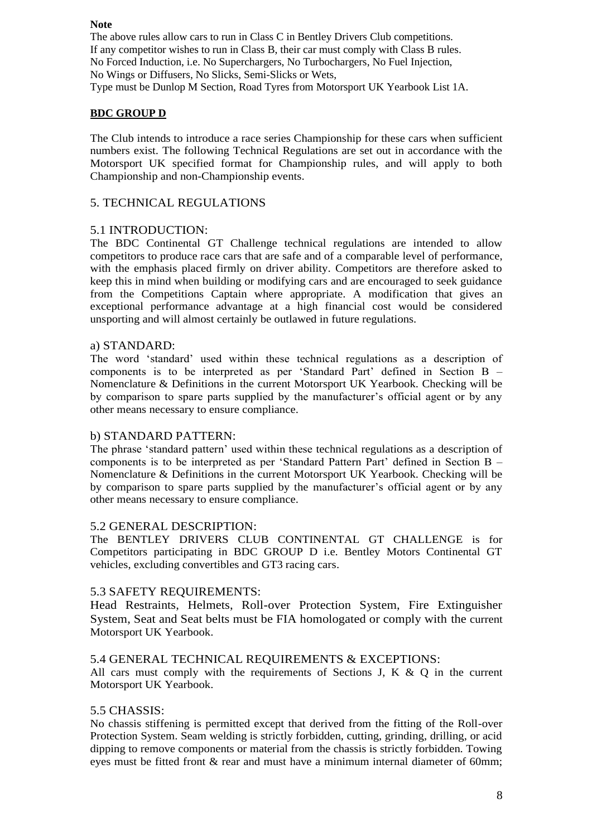#### **Note**

The above rules allow cars to run in Class C in Bentley Drivers Club competitions. If any competitor wishes to run in Class B, their car must comply with Class B rules. No Forced Induction, i.e. No Superchargers, No Turbochargers, No Fuel Injection, No Wings or Diffusers, No Slicks, Semi-Slicks or Wets, Type must be Dunlop M Section, Road Tyres from Motorsport UK Yearbook List 1A.

### **BDC GROUP D**

The Club intends to introduce a race series Championship for these cars when sufficient numbers exist. The following Technical Regulations are set out in accordance with the Motorsport UK specified format for Championship rules, and will apply to both Championship and non-Championship events.

### 5. TECHNICAL REGULATIONS

### 5.1 INTRODUCTION:

The BDC Continental GT Challenge technical regulations are intended to allow competitors to produce race cars that are safe and of a comparable level of performance, with the emphasis placed firmly on driver ability. Competitors are therefore asked to keep this in mind when building or modifying cars and are encouraged to seek guidance from the Competitions Captain where appropriate. A modification that gives an exceptional performance advantage at a high financial cost would be considered unsporting and will almost certainly be outlawed in future regulations.

### a) STANDARD:

The word 'standard' used within these technical regulations as a description of components is to be interpreted as per 'Standard Part' defined in Section B – Nomenclature & Definitions in the current Motorsport UK Yearbook. Checking will be by comparison to spare parts supplied by the manufacturer's official agent or by any other means necessary to ensure compliance.

### b) STANDARD PATTERN:

The phrase 'standard pattern' used within these technical regulations as a description of components is to be interpreted as per 'Standard Pattern Part' defined in Section B – Nomenclature & Definitions in the current Motorsport UK Yearbook. Checking will be by comparison to spare parts supplied by the manufacturer's official agent or by any other means necessary to ensure compliance.

### 5.2 GENERAL DESCRIPTION:

The BENTLEY DRIVERS CLUB CONTINENTAL GT CHALLENGE is for Competitors participating in BDC GROUP D i.e. Bentley Motors Continental GT vehicles, excluding convertibles and GT3 racing cars.

### 5.3 SAFETY REQUIREMENTS:

Head Restraints, Helmets, Roll-over Protection System, Fire Extinguisher System, Seat and Seat belts must be FIA homologated or comply with the current Motorsport UK Yearbook.

### 5.4 GENERAL TECHNICAL REQUIREMENTS & EXCEPTIONS:

All cars must comply with the requirements of Sections J, K  $\&$  O in the current Motorsport UK Yearbook.

### 5.5 CHASSIS:

No chassis stiffening is permitted except that derived from the fitting of the Roll-over Protection System. Seam welding is strictly forbidden, cutting, grinding, drilling, or acid dipping to remove components or material from the chassis is strictly forbidden. Towing eyes must be fitted front  $\&$  rear and must have a minimum internal diameter of 60mm;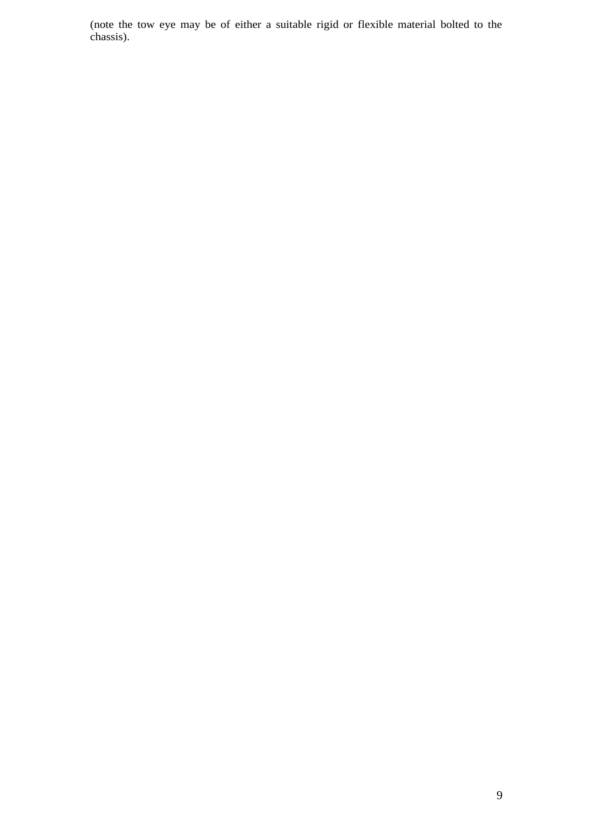(note the tow eye may be of either a suitable rigid or flexible material bolted to the chassis).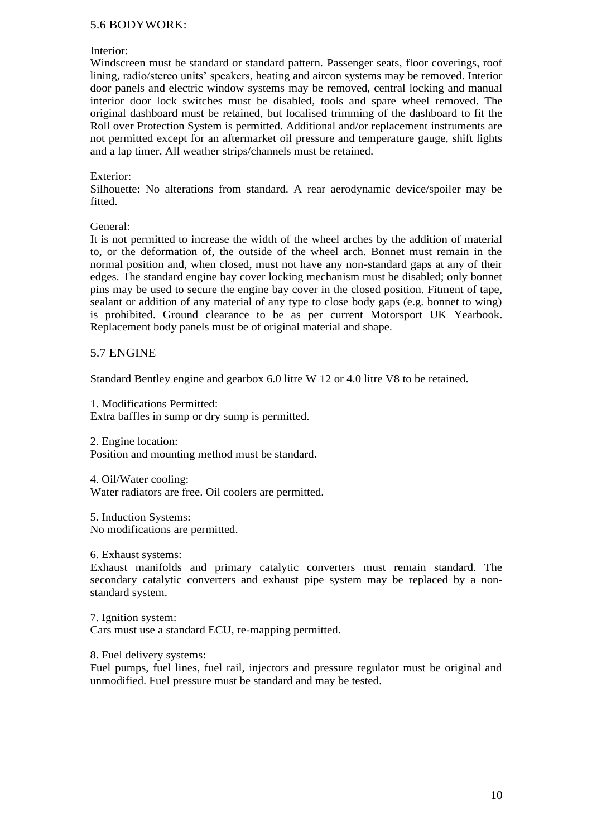### 5.6 BODYWORK:

### Interior:

Windscreen must be standard or standard pattern. Passenger seats, floor coverings, roof lining, radio/stereo units' speakers, heating and aircon systems may be removed. Interior door panels and electric window systems may be removed, central locking and manual interior door lock switches must be disabled, tools and spare wheel removed. The original dashboard must be retained, but localised trimming of the dashboard to fit the Roll over Protection System is permitted. Additional and/or replacement instruments are not permitted except for an aftermarket oil pressure and temperature gauge, shift lights and a lap timer. All weather strips/channels must be retained.

#### Exterior:

Silhouette: No alterations from standard. A rear aerodynamic device/spoiler may be fitted.

General:

It is not permitted to increase the width of the wheel arches by the addition of material to, or the deformation of, the outside of the wheel arch. Bonnet must remain in the normal position and, when closed, must not have any non-standard gaps at any of their edges. The standard engine bay cover locking mechanism must be disabled; only bonnet pins may be used to secure the engine bay cover in the closed position. Fitment of tape, sealant or addition of any material of any type to close body gaps (e.g. bonnet to wing) is prohibited. Ground clearance to be as per current Motorsport UK Yearbook. Replacement body panels must be of original material and shape.

### 5.7 ENGINE

Standard Bentley engine and gearbox 6.0 litre W 12 or 4.0 litre V8 to be retained.

1. Modifications Permitted: Extra baffles in sump or dry sump is permitted.

2. Engine location:

Position and mounting method must be standard.

4. Oil/Water cooling: Water radiators are free. Oil coolers are permitted.

5. Induction Systems: No modifications are permitted.

6. Exhaust systems:

Exhaust manifolds and primary catalytic converters must remain standard. The secondary catalytic converters and exhaust pipe system may be replaced by a nonstandard system.

7. Ignition system: Cars must use a standard ECU, re-mapping permitted.

8. Fuel delivery systems:

Fuel pumps, fuel lines, fuel rail, injectors and pressure regulator must be original and unmodified. Fuel pressure must be standard and may be tested.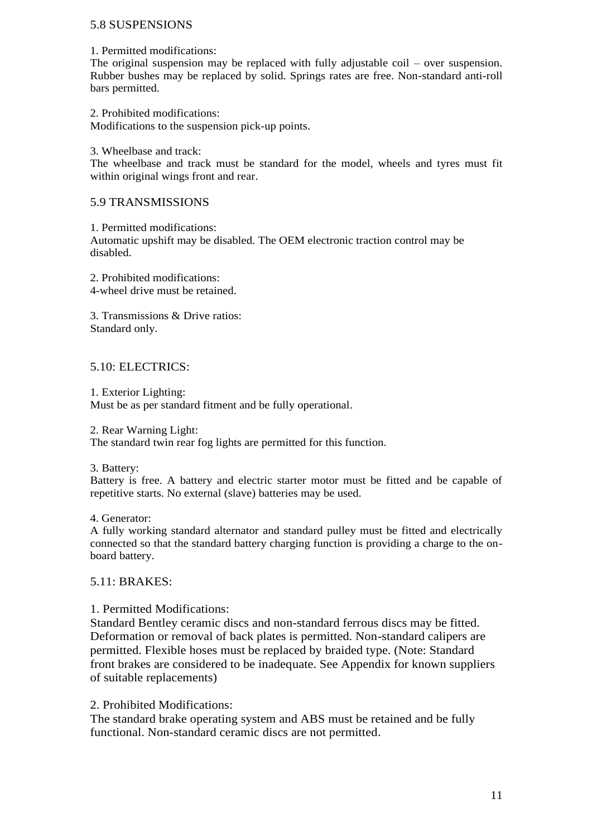### 5.8 SUSPENSIONS

1. Permitted modifications:

The original suspension may be replaced with fully adjustable coil – over suspension. Rubber bushes may be replaced by solid. Springs rates are free. Non-standard anti-roll bars permitted.

2. Prohibited modifications: Modifications to the suspension pick-up points.

3. Wheelbase and track:

The wheelbase and track must be standard for the model, wheels and tyres must fit within original wings front and rear.

### 5.9 TRANSMISSIONS

1. Permitted modifications: Automatic upshift may be disabled. The OEM electronic traction control may be disabled.

2. Prohibited modifications: 4-wheel drive must be retained.

3. Transmissions & Drive ratios: Standard only.

### 5.10: ELECTRICS:

1. Exterior Lighting:

Must be as per standard fitment and be fully operational.

2. Rear Warning Light:

The standard twin rear fog lights are permitted for this function.

3. Battery:

Battery is free. A battery and electric starter motor must be fitted and be capable of repetitive starts. No external (slave) batteries may be used.

4. Generator:

A fully working standard alternator and standard pulley must be fitted and electrically connected so that the standard battery charging function is providing a charge to the onboard battery.

### 5.11: BRAKES:

### 1. Permitted Modifications:

Standard Bentley ceramic discs and non-standard ferrous discs may be fitted. Deformation or removal of back plates is permitted. Non-standard calipers are permitted. Flexible hoses must be replaced by braided type. (Note: Standard front brakes are considered to be inadequate. See Appendix for known suppliers of suitable replacements)

### 2. Prohibited Modifications:

The standard brake operating system and ABS must be retained and be fully functional. Non-standard ceramic discs are not permitted.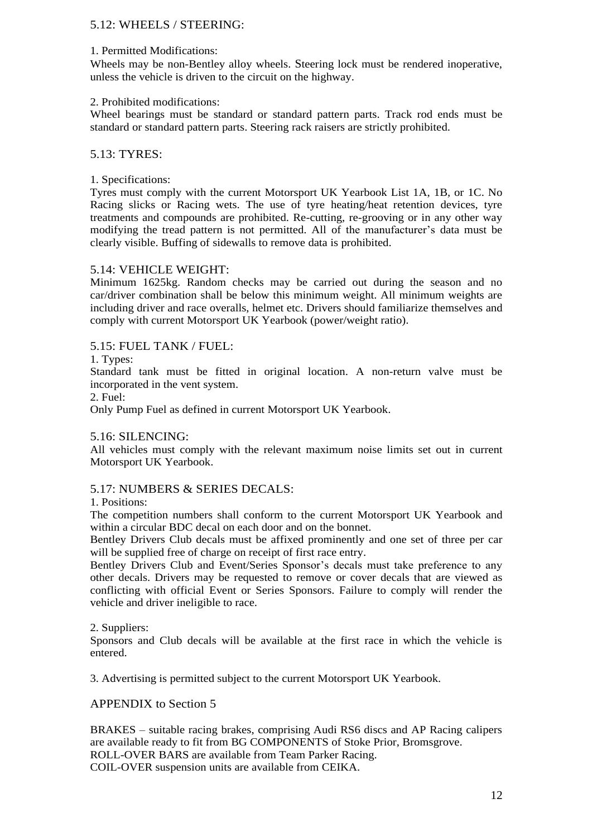### 5.12: WHEELS / STEERING:

### 1. Permitted Modifications:

Wheels may be non-Bentley alloy wheels. Steering lock must be rendered inoperative, unless the vehicle is driven to the circuit on the highway.

### 2. Prohibited modifications:

Wheel bearings must be standard or standard pattern parts. Track rod ends must be standard or standard pattern parts. Steering rack raisers are strictly prohibited.

### 5.13: TYRES:

### 1. Specifications:

Tyres must comply with the current Motorsport UK Yearbook List 1A, 1B, or 1C. No Racing slicks or Racing wets. The use of tyre heating/heat retention devices, tyre treatments and compounds are prohibited. Re-cutting, re-grooving or in any other way modifying the tread pattern is not permitted. All of the manufacturer's data must be clearly visible. Buffing of sidewalls to remove data is prohibited.

### 5.14: VEHICLE WEIGHT:

Minimum 1625kg. Random checks may be carried out during the season and no car/driver combination shall be below this minimum weight. All minimum weights are including driver and race overalls, helmet etc. Drivers should familiarize themselves and comply with current Motorsport UK Yearbook (power/weight ratio).

### 5.15: FUEL TANK / FUEL:

### 1. Types:

Standard tank must be fitted in original location. A non-return valve must be incorporated in the vent system.

### 2. Fuel:

Only Pump Fuel as defined in current Motorsport UK Yearbook.

### 5.16: SILENCING:

All vehicles must comply with the relevant maximum noise limits set out in current Motorsport UK Yearbook.

### 5.17: NUMBERS & SERIES DECALS:

### 1. Positions:

The competition numbers shall conform to the current Motorsport UK Yearbook and within a circular BDC decal on each door and on the bonnet.

Bentley Drivers Club decals must be affixed prominently and one set of three per car will be supplied free of charge on receipt of first race entry.

Bentley Drivers Club and Event/Series Sponsor's decals must take preference to any other decals. Drivers may be requested to remove or cover decals that are viewed as conflicting with official Event or Series Sponsors. Failure to comply will render the vehicle and driver ineligible to race.

### 2. Suppliers:

Sponsors and Club decals will be available at the first race in which the vehicle is entered.

3. Advertising is permitted subject to the current Motorsport UK Yearbook.

### APPENDIX to Section 5

BRAKES – suitable racing brakes, comprising Audi RS6 discs and AP Racing calipers are available ready to fit from BG COMPONENTS of Stoke Prior, Bromsgrove. ROLL-OVER BARS are available from Team Parker Racing. COIL-OVER suspension units are available from CEIKA.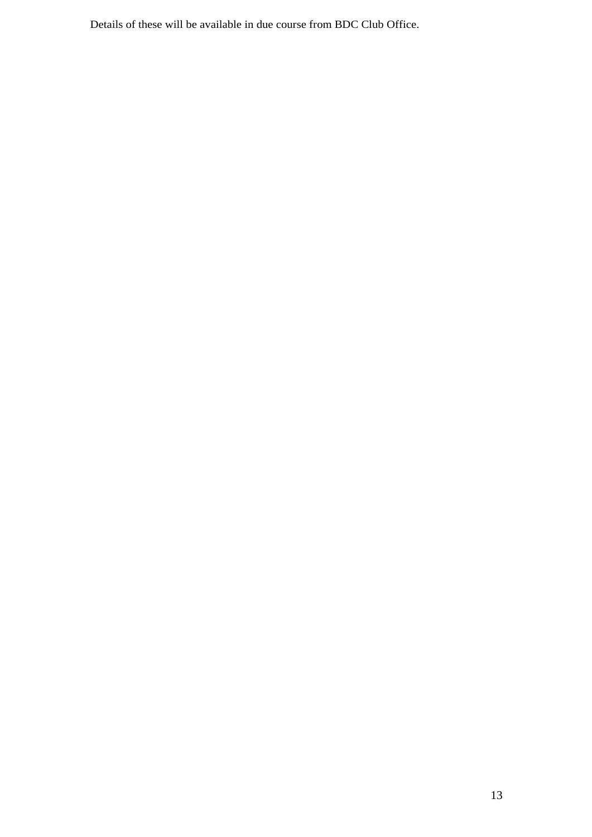Details of these will be available in due course from BDC Club Office.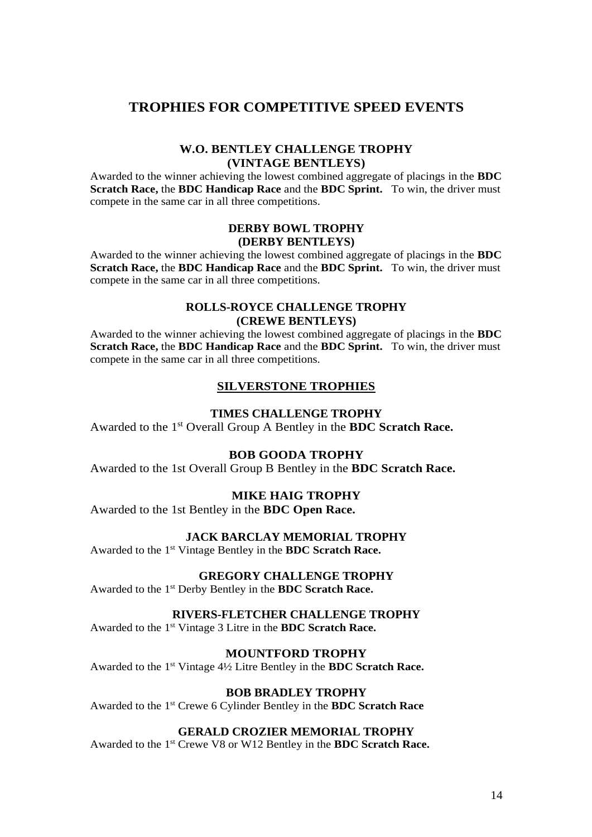### **TROPHIES FOR COMPETITIVE SPEED EVENTS**

### **W.O. BENTLEY CHALLENGE TROPHY (VINTAGE BENTLEYS)**

Awarded to the winner achieving the lowest combined aggregate of placings in the **BDC Scratch Race,** the **BDC Handicap Race** and the **BDC Sprint.** To win, the driver must compete in the same car in all three competitions.

### **DERBY BOWL TROPHY (DERBY BENTLEYS)**

Awarded to the winner achieving the lowest combined aggregate of placings in the **BDC Scratch Race,** the **BDC Handicap Race** and the **BDC Sprint.** To win, the driver must compete in the same car in all three competitions.

### **ROLLS-ROYCE CHALLENGE TROPHY (CREWE BENTLEYS)**

Awarded to the winner achieving the lowest combined aggregate of placings in the **BDC Scratch Race,** the **BDC Handicap Race** and the **BDC Sprint.** To win, the driver must compete in the same car in all three competitions.

### **SILVERSTONE TROPHIES**

### **TIMES CHALLENGE TROPHY**

Awarded to the 1st Overall Group A Bentley in the **BDC Scratch Race.**

### **BOB GOODA TROPHY**

Awarded to the 1st Overall Group B Bentley in the **BDC Scratch Race.**

### **MIKE HAIG TROPHY**

Awarded to the 1st Bentley in the **BDC Open Race.**

### **JACK BARCLAY MEMORIAL TROPHY**

Awarded to the 1st Vintage Bentley in the **BDC Scratch Race.**

### **GREGORY CHALLENGE TROPHY**

Awarded to the 1st Derby Bentley in the **BDC Scratch Race.**

### **RIVERS-FLETCHER CHALLENGE TROPHY**

Awarded to the 1st Vintage 3 Litre in the **BDC Scratch Race.**

### **MOUNTFORD TROPHY**

Awarded to the 1st Vintage 4½ Litre Bentley in the **BDC Scratch Race.**

### **BOB BRADLEY TROPHY**

Awarded to the 1st Crewe 6 Cylinder Bentley in the **BDC Scratch Race**

### **GERALD CROZIER MEMORIAL TROPHY**

Awarded to the 1st Crewe V8 or W12 Bentley in the **BDC Scratch Race.**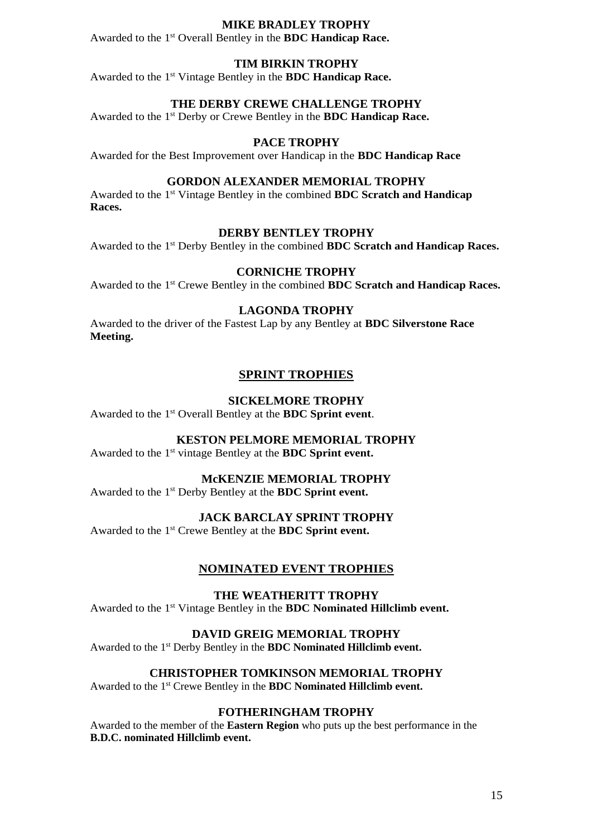### **MIKE BRADLEY TROPHY**

Awarded to the 1st Overall Bentley in the **BDC Handicap Race.**

### **TIM BIRKIN TROPHY**

Awarded to the 1st Vintage Bentley in the **BDC Handicap Race.**

### **THE DERBY CREWE CHALLENGE TROPHY**

Awarded to the 1st Derby or Crewe Bentley in the **BDC Handicap Race.**

### **PACE TROPHY**

Awarded for the Best Improvement over Handicap in the **BDC Handicap Race**

### **GORDON ALEXANDER MEMORIAL TROPHY**

Awarded to the 1st Vintage Bentley in the combined **BDC Scratch and Handicap Races.**

#### **DERBY BENTLEY TROPHY**

Awarded to the 1st Derby Bentley in the combined **BDC Scratch and Handicap Races.**

#### **CORNICHE TROPHY**

Awarded to the 1st Crewe Bentley in the combined **BDC Scratch and Handicap Races.**

### **LAGONDA TROPHY**

Awarded to the driver of the Fastest Lap by any Bentley at **BDC Silverstone Race Meeting.**

### **SPRINT TROPHIES**

#### **SICKELMORE TROPHY**

Awarded to the 1st Overall Bentley at the **BDC Sprint event**.

### **KESTON PELMORE MEMORIAL TROPHY**

Awarded to the 1st vintage Bentley at the **BDC Sprint event.**

### **McKENZIE MEMORIAL TROPHY**

Awarded to the 1st Derby Bentley at the **BDC Sprint event.**

### **JACK BARCLAY SPRINT TROPHY**

Awarded to the 1st Crewe Bentley at the **BDC Sprint event.**

#### **NOMINATED EVENT TROPHIES**

### **THE WEATHERITT TROPHY**

Awarded to the 1st Vintage Bentley in the **BDC Nominated Hillclimb event.**

#### **DAVID GREIG MEMORIAL TROPHY**

Awarded to the 1st Derby Bentley in the **BDC Nominated Hillclimb event.**

### **CHRISTOPHER TOMKINSON MEMORIAL TROPHY**

Awarded to the 1st Crewe Bentley in the **BDC Nominated Hillclimb event.**

### **FOTHERINGHAM TROPHY**

Awarded to the member of the **Eastern Region** who puts up the best performance in the **B.D.C. nominated Hillclimb event.**